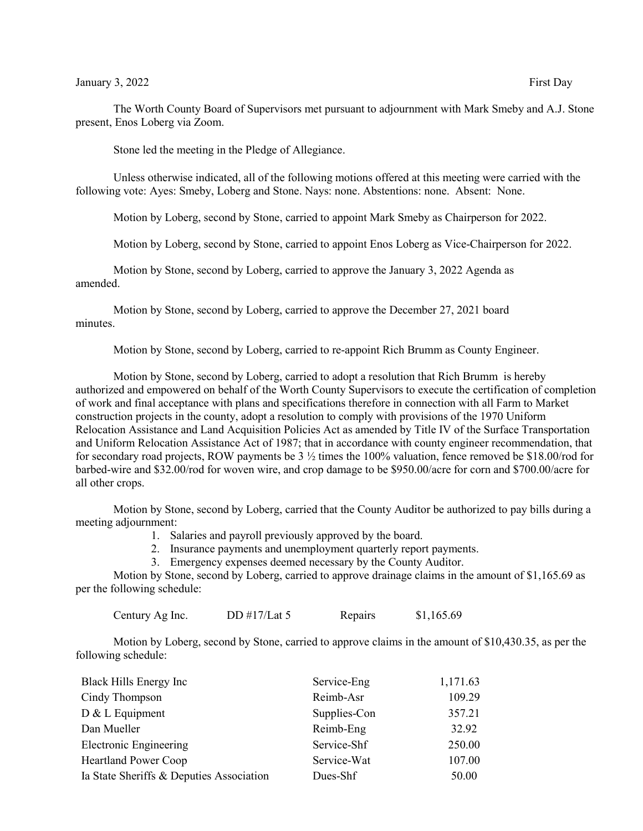The Worth County Board of Supervisors met pursuant to adjournment with Mark Smeby and A.J. Stone present, Enos Loberg via Zoom.

Stone led the meeting in the Pledge of Allegiance.

Unless otherwise indicated, all of the following motions offered at this meeting were carried with the following vote: Ayes: Smeby, Loberg and Stone. Nays: none. Abstentions: none. Absent: None.

Motion by Loberg, second by Stone, carried to appoint Mark Smeby as Chairperson for 2022.

Motion by Loberg, second by Stone, carried to appoint Enos Loberg as Vice-Chairperson for 2022.

Motion by Stone, second by Loberg, carried to approve the January 3, 2022 Agenda as amended.

Motion by Stone, second by Loberg, carried to approve the December 27, 2021 board minutes.

Motion by Stone, second by Loberg, carried to re-appoint Rich Brumm as County Engineer.

Motion by Stone, second by Loberg, carried to adopt a resolution that Rich Brumm is hereby authorized and empowered on behalf of the Worth County Supervisors to execute the certification of completion of work and final acceptance with plans and specifications therefore in connection with all Farm to Market construction projects in the county, adopt a resolution to comply with provisions of the 1970 Uniform Relocation Assistance and Land Acquisition Policies Act as amended by Title IV of the Surface Transportation and Uniform Relocation Assistance Act of 1987; that in accordance with county engineer recommendation, that for secondary road projects, ROW payments be 3 ½ times the 100% valuation, fence removed be \$18.00/rod for barbed-wire and \$32.00/rod for woven wire, and crop damage to be \$950.00/acre for corn and \$700.00/acre for all other crops.

Motion by Stone, second by Loberg, carried that the County Auditor be authorized to pay bills during a meeting adjournment:

- 1. Salaries and payroll previously approved by the board.
- 2. Insurance payments and unemployment quarterly report payments.
- 3. Emergency expenses deemed necessary by the County Auditor.

Motion by Stone, second by Loberg, carried to approve drainage claims in the amount of \$1,165.69 as per the following schedule:

Century Ag Inc.  $DD #17/Lat 5$  Repairs  $$1,165.69$ 

Motion by Loberg, second by Stone, carried to approve claims in the amount of \$10,430.35, as per the following schedule:

| Black Hills Energy Inc                   | Service-Eng  | 1,171.63 |
|------------------------------------------|--------------|----------|
| Cindy Thompson                           | Reimb-Asr    | 109.29   |
| D & L Equipment                          | Supplies-Con | 357.21   |
| Dan Mueller                              | Reimb-Eng    | 32.92    |
| <b>Electronic Engineering</b>            | Service-Shf  | 250.00   |
| <b>Heartland Power Coop</b>              | Service-Wat  | 107.00   |
| Ia State Sheriffs & Deputies Association | Dues-Shf     | 50.00    |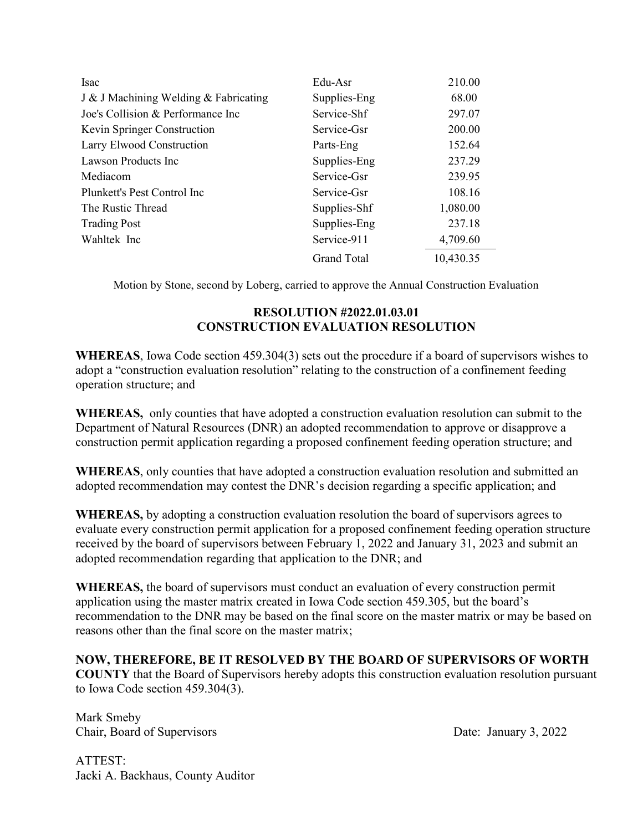| <b>Isac</b>                           | Edu-Asr            | 210.00    |
|---------------------------------------|--------------------|-----------|
| J & J Machining Welding & Fabricating | Supplies-Eng       | 68.00     |
| Joe's Collision & Performance Inc.    | Service-Shf        | 297.07    |
| Kevin Springer Construction           | Service-Gsr        | 200.00    |
| Larry Elwood Construction             | Parts-Eng          | 152.64    |
| Lawson Products Inc.                  | Supplies-Eng       | 237.29    |
| Mediacom                              | Service-Gsr        | 239.95    |
| Plunkett's Pest Control Inc           | Service-Gsr        | 108.16    |
| The Rustic Thread                     | Supplies-Shf       | 1,080.00  |
| <b>Trading Post</b>                   | Supplies-Eng       | 237.18    |
| Wahltek Inc                           | Service-911        | 4,709.60  |
|                                       | <b>Grand Total</b> | 10,430.35 |

Motion by Stone, second by Loberg, carried to approve the Annual Construction Evaluation

## **RESOLUTION #2022.01.03.01 CONSTRUCTION EVALUATION RESOLUTION**

**WHEREAS**, Iowa Code section 459.304(3) sets out the procedure if a board of supervisors wishes to adopt a "construction evaluation resolution" relating to the construction of a confinement feeding operation structure; and

**WHEREAS,** only counties that have adopted a construction evaluation resolution can submit to the Department of Natural Resources (DNR) an adopted recommendation to approve or disapprove a construction permit application regarding a proposed confinement feeding operation structure; and

**WHEREAS**, only counties that have adopted a construction evaluation resolution and submitted an adopted recommendation may contest the DNR's decision regarding a specific application; and

**WHEREAS,** by adopting a construction evaluation resolution the board of supervisors agrees to evaluate every construction permit application for a proposed confinement feeding operation structure received by the board of supervisors between February 1, 2022 and January 31, 2023 and submit an adopted recommendation regarding that application to the DNR; and

**WHEREAS,** the board of supervisors must conduct an evaluation of every construction permit application using the master matrix created in Iowa Code section 459.305, but the board's recommendation to the DNR may be based on the final score on the master matrix or may be based on reasons other than the final score on the master matrix;

**NOW, THEREFORE, BE IT RESOLVED BY THE BOARD OF SUPERVISORS OF WORTH COUNTY** that the Board of Supervisors hereby adopts this construction evaluation resolution pursuant to Iowa Code section 459.304(3).

Mark Smeby Chair, Board of Supervisors Date: January 3, 2022

ATTEST: Jacki A. Backhaus, County Auditor